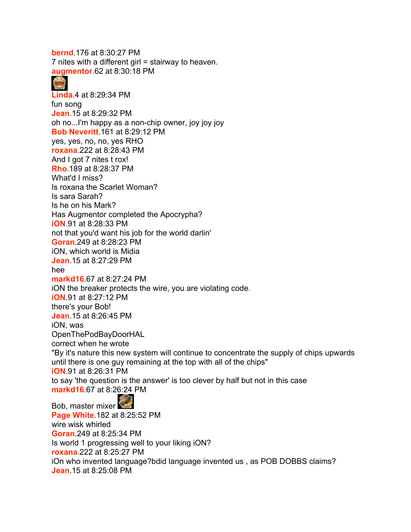7 nites with a different girl = stairway to heaven. **augmentor**.62 at 8:30:18 PM **Linda**.4 at 8:29:34 PM fun song **Jean**.15 at 8:29:32 PM oh no...I'm happy as a non-chip owner, joy joy joy **Bob Neveritt**.161 at 8:29:12 PM yes, yes, no, no, yes RHO **roxana**.222 at 8:28:43 PM And I got 7 nites t rox! **Rho**.189 at 8:28:37 PM What'd I miss? Is roxana the Scarlet Woman? Is sara Sarah? Is he on his Mark? Has Augmentor completed the Apocrypha? **iON**.91 at 8:28:33 PM not that you'd want his job for the world darlin' **Goran**.249 at 8:28:23 PM iON, which world is Midia **Jean**.15 at 8:27:29 PM hee **markd16**.67 at 8:27:24 PM iON the breaker protects the wire, you are violating code. **iON**.91 at 8:27:12 PM there's your Bob! **Jean**.15 at 8:26:45 PM iON, was OpenThePodBayDoorHAL correct when he wrote "By it's nature this new system will continue to concentrate the supply of chips upwards until there is one guy remaining at the top with all of the chips" **iON**.91 at 8:26:31 PM to say 'the question is the answer' is too clever by half but not in this case **markd16**.67 at 8:26:24 PM Bob, master mixer **Page White**.182 at 8:25:52 PM wire wisk whirled **Goran**.249 at 8:25:34 PM

Is world 1 progressing well to your liking iON?

**bernd**.176 at 8:30:27 PM

**roxana**.222 at 8:25:27 PM

iOn who invented language?bdid language invented us , as POB DOBBS claims? **Jean**.15 at 8:25:08 PM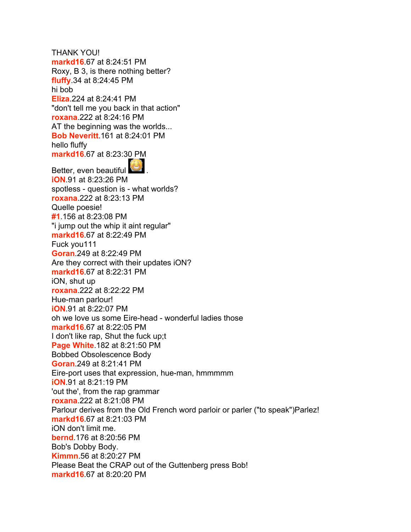THANK YOU! **markd16**.67 at 8:24:51 PM Roxy, B 3, is there nothing better? **fluffy**.34 at 8:24:45 PM hi bob **Eliza**.224 at 8:24:41 PM "don't tell me you back in that action" **roxana**.222 at 8:24:16 PM AT the beginning was the worlds... **Bob Neveritt**.161 at 8:24:01 PM hello fluffy **markd16**.67 at 8:23:30 PM Better, even beautiful . **iON**.91 at 8:23:26 PM spotless - question is - what worlds? **roxana**.222 at 8:23:13 PM Quelle poesie! **#1**.156 at 8:23:08 PM "i jump out the whip it aint regular" **markd16**.67 at 8:22:49 PM Fuck you111 **Goran**.249 at 8:22:49 PM Are they correct with their updates iON? **markd16**.67 at 8:22:31 PM iON, shut up **roxana**.222 at 8:22:22 PM Hue-man parlour! **iON**.91 at 8:22:07 PM oh we love us some Eire-head - wonderful ladies those **markd16**.67 at 8:22:05 PM I don't like rap, Shut the fuck up;t **Page White**.182 at 8:21:50 PM Bobbed Obsolescence Body **Goran**.249 at 8:21:41 PM Eire-port uses that expression, hue-man, hmmmmm **iON**.91 at 8:21:19 PM 'out the', from the rap grammar **roxana**.222 at 8:21:08 PM Parlour derives from the Old French word parloir or parler ("to speak")Parlez! **markd16**.67 at 8:21:03 PM iON don't limit me. **bernd**.176 at 8:20:56 PM Bob's Dobby Body. **Kimmn**.56 at 8:20:27 PM Please Beat the CRAP out of the Guttenberg press Bob! **markd16**.67 at 8:20:20 PM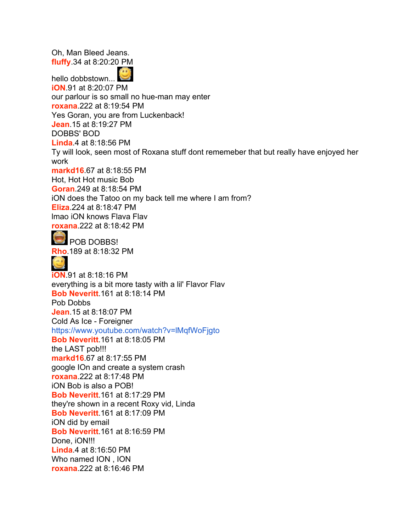Oh, Man Bleed Jeans. **fluffy**.34 at 8:20:20 PM 33 hello dobbstown... **iON**.91 at 8:20:07 PM our parlour is so small no hue-man may enter **roxana**.222 at 8:19:54 PM Yes Goran, you are from Luckenback! **Jean**.15 at 8:19:27 PM DOBBS' BOD **Linda**.4 at 8:18:56 PM Ty will look, seen most of Roxana stuff dont rememeber that but really have enjoyed her work **markd16**.67 at 8:18:55 PM Hot, Hot Hot music Bob **Goran**.249 at 8:18:54 PM iON does the Tatoo on my back tell me where I am from? **Eliza**.224 at 8:18:47 PM lmao iON knows Flava Flav **roxana**.222 at 8:18:42 PM **POB DOBBS! Rho**.189 at 8:18:32 PM  $\left( \frac{1}{2} \right)$ **iON**.91 at 8:18:16 PM everything is a bit more tasty with a lil' Flavor Flav **Bob Neveritt**.161 at 8:18:14 PM Pob Dobbs **Jean**.15 at 8:18:07 PM Cold As Ice - Foreigner <https://www.youtube.com/watch?v=lMqfWoFjgto> **Bob Neveritt**.161 at 8:18:05 PM the LAST pob!!! **markd16**.67 at 8:17:55 PM google IOn and create a system crash **roxana**.222 at 8:17:48 PM iON Bob is also a POB! **Bob Neveritt**.161 at 8:17:29 PM they're shown in a recent Roxy vid, Linda **Bob Neveritt**.161 at 8:17:09 PM iON did by email **Bob Neveritt**.161 at 8:16:59 PM Done, *iON!!!* **Linda**.4 at 8:16:50 PM Who named ION , ION **roxana**.222 at 8:16:46 PM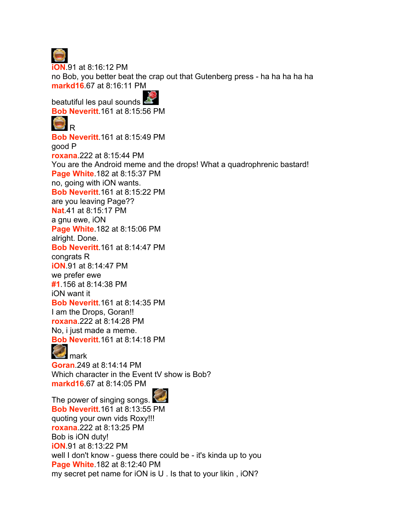

**iON**.91 at 8:16:12 PM no Bob, you better beat the crap out that Gutenberg press - ha ha ha ha ha **markd16**.67 at 8:16:11 PM

beatutiful les paul sounds

**Bob Neveritt**.161 at 8:15:56 PM



**Bob Neveritt**.161 at 8:15:49 PM good P **roxana**.222 at 8:15:44 PM You are the Android meme and the drops! What a quadrophrenic bastard! **Page White**.182 at 8:15:37 PM no, going with iON wants. **Bob Neveritt**.161 at 8:15:22 PM are you leaving Page?? **Nat**.41 at 8:15:17 PM a gnu ewe, iON **Page White**.182 at 8:15:06 PM alright. Done. **Bob Neveritt**.161 at 8:14:47 PM congrats R **iON**.91 at 8:14:47 PM we prefer ewe **#1**.156 at 8:14:38 PM iON want it **Bob Neveritt**.161 at 8:14:35 PM I am the Drops, Goran!! **roxana**.222 at 8:14:28 PM No, i just made a meme. **Bob Neveritt**.161 at 8:14:18 PM **M** mark **Goran**.249 at 8:14:14 PM Which character in the Event tV show is Bob? **markd16**.67 at 8:14:05 PM



The power of singing songs. **Bob Neveritt**.161 at 8:13:55 PM quoting your own vids Roxy!!! **roxana**.222 at 8:13:25 PM Bob is iON duty! **iON**.91 at 8:13:22 PM well I don't know - guess there could be - it's kinda up to you **Page White**.182 at 8:12:40 PM my secret pet name for iON is U . Is that to your likin , iON?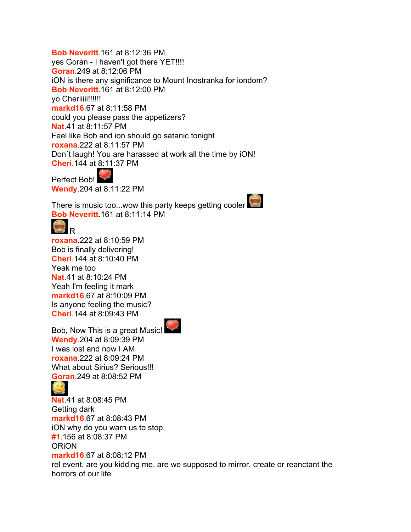**Bob Neveritt**.161 at 8:12:36 PM yes Goran - I haven't got there YET!!!! **Goran**.249 at 8:12:06 PM iON is there any significance to Mount Inostranka for iondom? **Bob Neveritt**.161 at 8:12:00 PM yo Cheriiii!!!!!!! **markd16**.67 at 8:11:58 PM could you please pass the appetizers? **Nat**.41 at 8:11:57 PM Feel like Bob and ion should go satanic tonight **roxana**.222 at 8:11:57 PM Don´t laugh! You are harassed at work all the time by iON! **Cheri**.144 at 8:11:37 PM

Perfect Bob! **Wendy**.204 at 8:11:22 PM

There is music too...wow this party keeps getting cooler **Bob Neveritt**.161 at 8:11:14 PM



**roxana**.222 at 8:10:59 PM Bob is finally delivering! **Cheri**.144 at 8:10:40 PM Yeak me too **Nat**.41 at 8:10:24 PM Yeah I'm feeling it mark **markd16**.67 at 8:10:09 PM Is anyone feeling the music? **Cheri**.144 at 8:09:43 PM



Bob, Now This is a great Music! **Wendy**.204 at 8:09:39 PM I was lost and now I AM **roxana**.222 at 8:09:24 PM What about Sirius? Serious!!! **Goran**.249 at 8:08:52 PM



**Nat**.41 at 8:08:45 PM Getting dark **markd16**.67 at 8:08:43 PM iON why do you warn us to stop, **#1**.156 at 8:08:37 PM **ORION markd16**.67 at 8:08:12 PM rel event, are you kidding me, are we supposed to mirror, create or reanctant the horrors of our life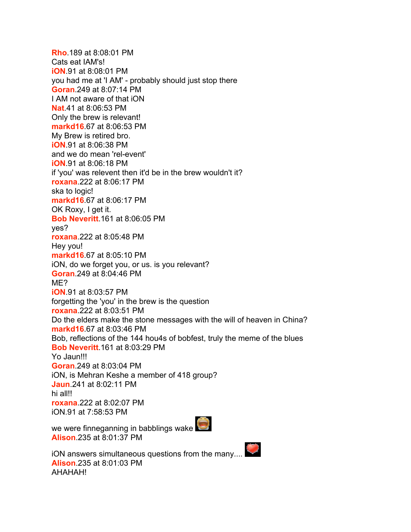**Rho**.189 at 8:08:01 PM Cats eat IAM's! **iON**.91 at 8:08:01 PM you had me at 'I AM' - probably should just stop there **Goran**.249 at 8:07:14 PM I AM not aware of that iON **Nat**.41 at 8:06:53 PM Only the brew is relevant! **markd16**.67 at 8:06:53 PM My Brew is retired bro. **iON**.91 at 8:06:38 PM and we do mean 'rel-event' **iON**.91 at 8:06:18 PM if 'you' was relevent then it'd be in the brew wouldn't it? **roxana**.222 at 8:06:17 PM ska to logic! **markd16**.67 at 8:06:17 PM OK Roxy, I get it. **Bob Neveritt**.161 at 8:06:05 PM yes? **roxana**.222 at 8:05:48 PM Hey you! **markd16**.67 at 8:05:10 PM iON, do we forget you, or us. is you relevant? **Goran**.249 at 8:04:46 PM ME? **iON**.91 at 8:03:57 PM forgetting the 'you' in the brew is the question **roxana**.222 at 8:03:51 PM Do the elders make the stone messages with the will of heaven in China? **markd16**.67 at 8:03:46 PM Bob, reflections of the 144 hou4s of bobfest, truly the meme of the blues **Bob Neveritt**.161 at 8:03:29 PM Yo Jaun!!! **Goran**.249 at 8:03:04 PM iON, is Mehran Keshe a member of 418 group? **Jaun**.241 at 8:02:11 PM hi all!! **roxana**.222 at 8:02:07 PM iON.91 at 7:58:53 PM

we were finneganning in babblings wake **Alison**.235 at 8:01:37 PM



iON answers simultaneous questions from the many.... **Alison**.235 at 8:01:03 PM AHAHAH!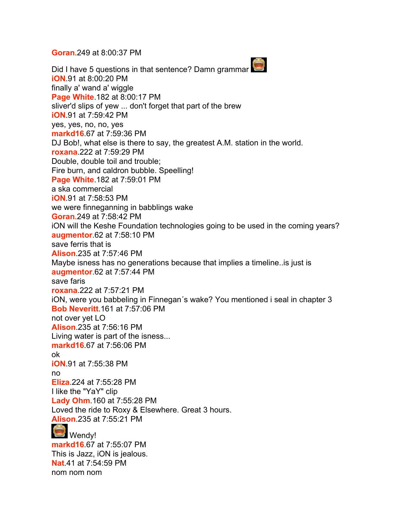**Goran**.249 at 8:00:37 PM

Did I have 5 questions in that sentence? Damn grammar **iON**.91 at 8:00:20 PM finally a' wand a' wiggle **Page White**.182 at 8:00:17 PM sliver'd slips of yew ... don't forget that part of the brew **iON**.91 at 7:59:42 PM yes, yes, no, no, yes **markd16**.67 at 7:59:36 PM DJ Bob!, what else is there to say, the greatest A.M. station in the world. **roxana**.222 at 7:59:29 PM Double, double toil and trouble; Fire burn, and caldron bubble. Speelling! **Page White**.182 at 7:59:01 PM a ska commercial **iON**.91 at 7:58:53 PM we were finneganning in babblings wake **Goran**.249 at 7:58:42 PM iON will the Keshe Foundation technologies going to be used in the coming years? **augmentor**.62 at 7:58:10 PM save ferris that is **Alison**.235 at 7:57:46 PM Maybe isness has no generations because that implies a timeline..is just is **augmentor**.62 at 7:57:44 PM save faris **roxana**.222 at 7:57:21 PM iON, were you babbeling in Finnegan´s wake? You mentioned i seal in chapter 3 **Bob Neveritt**.161 at 7:57:06 PM not over yet LO **Alison**.235 at 7:56:16 PM Living water is part of the isness... **markd16**.67 at 7:56:06 PM ok **iON**.91 at 7:55:38 PM no **Eliza**.224 at 7:55:28 PM I like the "YaY" clip **Lady Ohm**.160 at 7:55:28 PM Loved the ride to Roxy & Elsewhere. Great 3 hours. **Alison**.235 at 7:55:21 PM  $\Box$  Wendy! **markd16**.67 at 7:55:07 PM This is Jazz, iON is jealous. **Nat**.41 at 7:54:59 PM nom nom nom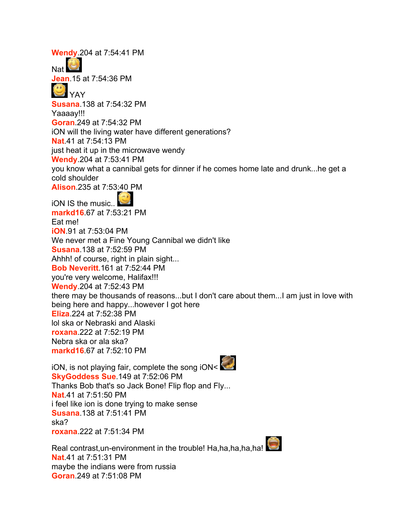**Wendy**.204 at 7:54:41 PM

**Nat Jean**.15 at 7:54:36 PM

YAY

**Susana**.138 at 7:54:32 PM

Yaaaay!!!

**Goran**.249 at 7:54:32 PM

iON will the living water have different generations?

**Nat**.41 at 7:54:13 PM

just heat it up in the microwave wendy

**Wendy**.204 at 7:53:41 PM

you know what a cannibal gets for dinner if he comes home late and drunk...he get a cold shoulder

**Alison**.235 at 7:53:40 PM

iON IS the music.. **markd16**.67 at 7:53:21 PM Eat me! **iON**.91 at 7:53:04 PM We never met a Fine Young Cannibal we didn't like **Susana**.138 at 7:52:59 PM Ahhh! of course, right in plain sight... **Bob Neveritt**.161 at 7:52:44 PM you're very welcome, Halifax!!! **Wendy**.204 at 7:52:43 PM there may be thousands of reasons...but I don't care about them...I am just in love with being here and happy...however I got here **Eliza**.224 at 7:52:38 PM lol ska or Nebraski and Alaski **roxana**.222 at 7:52:19 PM Nebra ska or ala ska? **markd16**.67 at 7:52:10 PM

iON, is not playing fair, complete the song iON< **SkyGoddess Sue**.149 at 7:52:06 PM Thanks Bob that's so Jack Bone! Flip flop and Fly... **Nat**.41 at 7:51:50 PM i feel like ion is done trying to make sense **Susana**.138 at 7:51:41 PM ska? **roxana**.222 at 7:51:34 PM

Real contrast, un-environment in the trouble! Ha,ha,ha,ha,ha! **Nat**.41 at 7:51:31 PM maybe the indians were from russia **Goran**.249 at 7:51:08 PM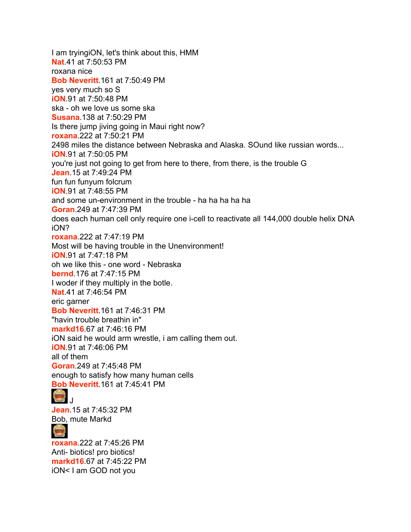I am tryingiON, let's think about this, HMM **Nat**.41 at 7:50:53 PM roxana nice **Bob Neveritt**.161 at 7:50:49 PM yes very much so S **iON**.91 at 7:50:48 PM ska - oh we love us some ska **Susana**.138 at 7:50:29 PM Is there jump jiving going in Maui right now? **roxana**.222 at 7:50:21 PM 2498 miles the distance between Nebraska and Alaska. SOund like russian words... **iON**.91 at 7:50:05 PM you're just not going to get from here to there, from there, is the trouble G **Jean**.15 at 7:49:24 PM fun fun funyum folcrum **iON**.91 at 7:48:55 PM and some un-environment in the trouble - ha ha ha ha ha **Goran**.249 at 7:47:39 PM does each human cell only require one i-cell to reactivate all 144,000 double helix DNA iON? **roxana**.222 at 7:47:19 PM Most will be having trouble in the Unenvironment! **iON**.91 at 7:47:18 PM oh we like this - one word - Nebraska **bernd**.176 at 7:47:15 PM I woder if they multiply in the botle. **Nat**.41 at 7:46:54 PM eric garner **Bob Neveritt**.161 at 7:46:31 PM "havin trouble breathin in" **markd16**.67 at 7:46:16 PM iON said he would arm wrestle, i am calling them out. **iON**.91 at 7:46:06 PM all of them **Goran**.249 at 7:45:48 PM enough to satisfy how many human cells **Bob Neveritt**.161 at 7:45:41 PM  $\overline{\mathbf{u}}$ **Jean**.15 at 7:45:32 PM Bob, mute Markd

**roxana**.222 at 7:45:26 PM Anti- biotics! pro biotics! **markd16**.67 at 7:45:22 PM iON< I am GOD not you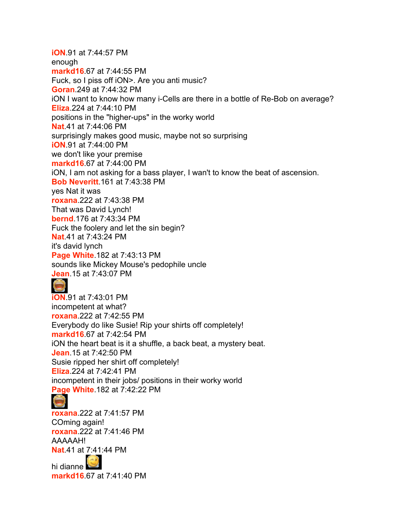**iON**.91 at 7:44:57 PM enough **markd16**.67 at 7:44:55 PM Fuck, so I piss off iON>. Are you anti music? **Goran**.249 at 7:44:32 PM iON I want to know how many i-Cells are there in a bottle of Re-Bob on average? **Eliza**.224 at 7:44:10 PM positions in the "higher-ups" in the worky world **Nat**.41 at 7:44:06 PM surprisingly makes good music, maybe not so surprising **iON**.91 at 7:44:00 PM we don't like your premise **markd16**.67 at 7:44:00 PM iON, I am not asking for a bass player, I wan't to know the beat of ascension. **Bob Neveritt**.161 at 7:43:38 PM yes Nat it was **roxana**.222 at 7:43:38 PM That was David Lynch! **bernd**.176 at 7:43:34 PM Fuck the foolery and let the sin begin? **Nat**.41 at 7:43:24 PM it's david lynch **Page White**.182 at 7:43:13 PM sounds like Mickey Mouse's pedophile uncle **Jean**.15 at 7:43:07 PM **iON**.91 at 7:43:01 PM incompetent at what? **roxana**.222 at 7:42:55 PM Everybody do like Susie! Rip your shirts off completely! **markd16**.67 at 7:42:54 PM iON the heart beat is it a shuffle, a back beat, a mystery beat. **Jean**.15 at 7:42:50 PM Susie ripped her shirt off completely!

**Eliza**.224 at 7:42:41 PM

incompetent in their jobs/ positions in their worky world **Page White**.182 at 7:42:22 PM



**roxana**.222 at 7:41:57 PM COming again! **roxana**.222 at 7:41:46 PM AAAAAH! **Nat**.41 at 7:41:44 PM

hi dianne **markd16**.67 at 7:41:40 PM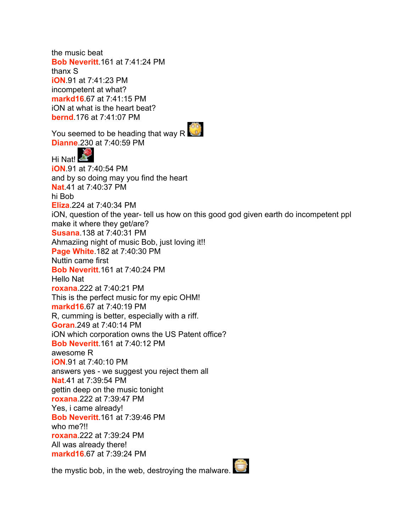the music beat **Bob Neveritt**.161 at 7:41:24 PM thanx S **iON**.91 at 7:41:23 PM incompetent at what? **markd16**.67 at 7:41:15 PM iON at what is the heart beat? **bernd**.176 at 7:41:07 PM You seemed to be heading that way R **Dianne**.230 at 7:40:59 PM Hi Nat! **iON**.91 at 7:40:54 PM and by so doing may you find the heart **Nat**.41 at 7:40:37 PM hi Bob **Eliza**.224 at 7:40:34 PM iON, question of the year- tell us how on this good god given earth do incompetent ppl make it where they get/are? **Susana**.138 at 7:40:31 PM Ahmaziing night of music Bob, just loving it!! **Page White**.182 at 7:40:30 PM Nuttin came first **Bob Neveritt**.161 at 7:40:24 PM Hello Nat **roxana**.222 at 7:40:21 PM This is the perfect music for my epic OHM! **markd16**.67 at 7:40:19 PM R, cumming is better, especially with a riff. **Goran**.249 at 7:40:14 PM iON which corporation owns the US Patent office? **Bob Neveritt**.161 at 7:40:12 PM awesome R **iON**.91 at 7:40:10 PM answers yes - we suggest you reject them all **Nat**.41 at 7:39:54 PM gettin deep on the music tonight **roxana**.222 at 7:39:47 PM Yes, i came already! **Bob Neveritt**.161 at 7:39:46 PM who me?!! **roxana**.222 at 7:39:24 PM All was already there! **markd16**.67 at 7:39:24 PM

the mystic bob, in the web, destroying the malware.

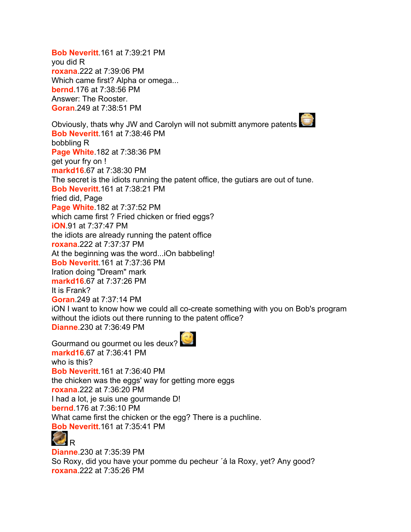**Bob Neveritt**.161 at 7:39:21 PM you did R **roxana**.222 at 7:39:06 PM Which came first? Alpha or omega... **bernd**.176 at 7:38:56 PM Answer: The Rooster. **Goran**.249 at 7:38:51 PM Obviously, thats why JW and Carolyn will not submitt anymore patents **Bob Neveritt**.161 at 7:38:46 PM bobbling R **Page White**.182 at 7:38:36 PM get your fry on ! **markd16**.67 at 7:38:30 PM The secret is the idiots running the patent office, the gutiars are out of tune. **Bob Neveritt**.161 at 7:38:21 PM fried did, Page **Page White**.182 at 7:37:52 PM which came first ? Fried chicken or fried eggs? **iON**.91 at 7:37:47 PM the idiots are already running the patent office **roxana**.222 at 7:37:37 PM At the beginning was the word...iOn babbeling! **Bob Neveritt**.161 at 7:37:36 PM Iration doing "Dream" mark **markd16**.67 at 7:37:26 PM It is Frank? **Goran**.249 at 7:37:14 PM iON I want to know how we could all co-create something with you on Bob's program without the idiots out there running to the patent office? **Dianne**.230 at 7:36:49 PM

Gourmand ou gourmet ou les deux? **markd16**.67 at 7:36:41 PM who is this? **Bob Neveritt**.161 at 7:36:40 PM the chicken was the eggs' way for getting more eggs **roxana**.222 at 7:36:20 PM I had a lot, je suis une gourmande D! **bernd**.176 at 7:36:10 PM What came first the chicken or the egg? There is a puchline. **Bob Neveritt**.161 at 7:35:41 PM



**Dianne**.230 at 7:35:39 PM So Roxy, did you have your pomme du pecheur ´á la Roxy, yet? Any good? **roxana**.222 at 7:35:26 PM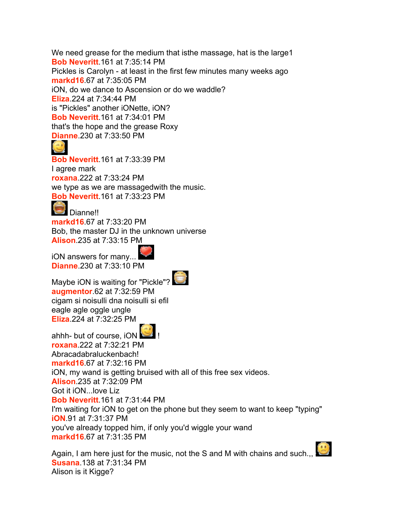We need grease for the medium that isthe massage, hat is the large1 **Bob Neveritt**.161 at 7:35:14 PM Pickles is Carolyn - at least in the first few minutes many weeks ago **markd16**.67 at 7:35:05 PM iON, do we dance to Ascension or do we waddle? **Eliza**.224 at 7:34:44 PM is "Pickles" another iONette, iON? **Bob Neveritt**.161 at 7:34:01 PM that's the hope and the grease Roxy **Dianne**.230 at 7:33:50 PM

## $\odot$

**Bob Neveritt**.161 at 7:33:39 PM I agree mark **roxana**.222 at 7:33:24 PM we type as we are massagedwith the music. **Bob Neveritt**.161 at 7:33:23 PM

## **Dianne!!**

**markd16**.67 at 7:33:20 PM Bob, the master DJ in the unknown universe **Alison**.235 at 7:33:15 PM

iON answers for many... **Dianne**.230 at 7:33:10 PM

Maybe iON is waiting for "Pickle"? **augmentor**.62 at 7:32:59 PM cigam si noisulli dna noisulli si efil eagle agle oggle ungle **Eliza**.224 at 7:32:25 PM

ahhh- but of course, iON **roxana**.222 at 7:32:21 PM Abracadabraluckenbach! **markd16**.67 at 7:32:16 PM iON, my wand is getting bruised with all of this free sex videos. **Alison**.235 at 7:32:09 PM Got it iON...love Liz **Bob Neveritt**.161 at 7:31:44 PM I'm waiting for iON to get on the phone but they seem to want to keep "typing" **iON**.91 at 7:31:37 PM you've already topped him, if only you'd wiggle your wand **markd16**.67 at 7:31:35 PM



Again, I am here just for the music, not the S and M with chains and such.,, **Susana**.138 at 7:31:34 PM Alison is it Kigge?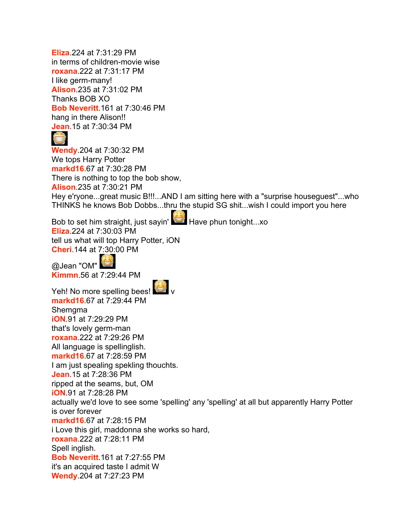**Eliza**.224 at 7:31:29 PM in terms of children-movie wise **roxana**.222 at 7:31:17 PM I like germ-many! **Alison**.235 at 7:31:02 PM Thanks BOB XO **Bob Neveritt**.161 at 7:30:46 PM hang in there Alison!! **Jean**.15 at 7:30:34 PM



**Wendy**.204 at 7:30:32 PM We tops Harry Potter **markd16**.67 at 7:30:28 PM There is nothing to top the bob show, **Alison**.235 at 7:30:21 PM Hey e'ryone...great music B!!!...AND I am sitting here with a "surprise houseguest"...who THINKS he knows Bob Dobbs...thru the stupid SG shit...wish I could import you here

Bob to set him straight, just sayin' Have phun tonight...xo **Eliza**.224 at 7:30:03 PM tell us what will top Harry Potter, iON **Cheri**.144 at 7:30:00 PM

@Jean "OM" **Kimmn**.56 at 7:29:44 PM



Yeh! No more spelling bees! **markd16**.67 at 7:29:44 PM Shemgma **iON**.91 at 7:29:29 PM that's lovely germ-man **roxana**.222 at 7:29:26 PM All language is spellinglish. **markd16**.67 at 7:28:59 PM I am just spealing spekling thouchts. **Jean**.15 at 7:28:36 PM ripped at the seams, but, OM **iON**.91 at 7:28:28 PM actually we'd love to see some 'spelling' any 'spelling' at all but apparently Harry Potter is over forever **markd16**.67 at 7:28:15 PM i Love this girl, maddonna she works so hard, **roxana**.222 at 7:28:11 PM Spell inglish. **Bob Neveritt**.161 at 7:27:55 PM it's an acquired taste I admit W **Wendy**.204 at 7:27:23 PM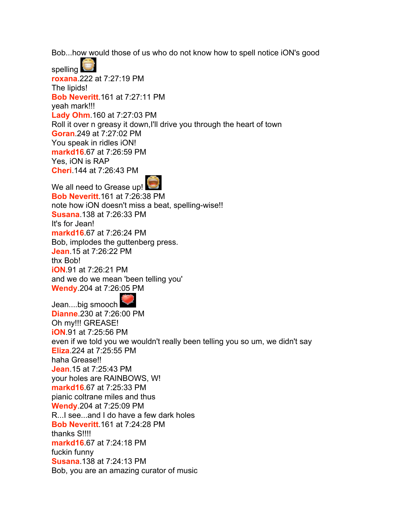Bob...how would those of us who do not know how to spell notice iON's good

spelling **roxana**.222 at 7:27:19 PM The lipids! **Bob Neveritt**.161 at 7:27:11 PM yeah mark!!! **Lady Ohm**.160 at 7:27:03 PM Roll it over n greasy it down,I'll drive you through the heart of town **Goran**.249 at 7:27:02 PM You speak in ridles iON! **markd16**.67 at 7:26:59 PM Yes, iON is RAP **Cheri**.144 at 7:26:43 PM



We all need to Grease up! **Bob Neveritt**.161 at 7:26:38 PM note how iON doesn't miss a beat, spelling-wise!! **Susana**.138 at 7:26:33 PM It's for Jean! **markd16**.67 at 7:26:24 PM Bob, implodes the guttenberg press. **Jean**.15 at 7:26:22 PM thx Bob! **iON**.91 at 7:26:21 PM and we do we mean 'been telling you' **Wendy**.204 at 7:26:05 PM

Jean....big smooch **Dianne**.230 at 7:26:00 PM Oh my!!! GREASE! **iON**.91 at 7:25:56 PM even if we told you we wouldn't really been telling you so um, we didn't say **Eliza**.224 at 7:25:55 PM haha Grease!! **Jean**.15 at 7:25:43 PM your holes are RAINBOWS, W! **markd16**.67 at 7:25:33 PM pianic coltrane miles and thus **Wendy**.204 at 7:25:09 PM R...I see...and I do have a few dark holes **Bob Neveritt**.161 at 7:24:28 PM thanks S!!!! **markd16**.67 at 7:24:18 PM fuckin funny **Susana**.138 at 7:24:13 PM Bob, you are an amazing curator of music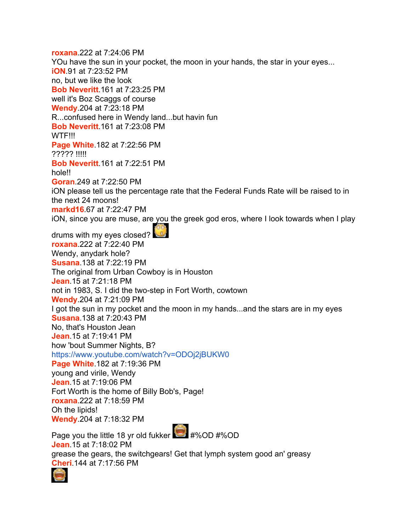**roxana**.222 at 7:24:06 PM YOu have the sun in your pocket, the moon in your hands, the star in your eyes... **iON**.91 at 7:23:52 PM no, but we like the look **Bob Neveritt**.161 at 7:23:25 PM well it's Boz Scaggs of course **Wendy**.204 at 7:23:18 PM R...confused here in Wendy land...but havin fun **Bob Neveritt**.161 at 7:23:08 PM WTF!!! **Page White**.182 at 7:22:56 PM ????? !!!!! **Bob Neveritt**.161 at 7:22:51 PM hole!! **Goran**.249 at 7:22:50 PM iON please tell us the percentage rate that the Federal Funds Rate will be raised to in the next 24 moons! **markd16**.67 at 7:22:47 PM iON, since you are muse, are you the greek god eros, where I look towards when I play drums with my eyes closed? **roxana**.222 at 7:22:40 PM Wendy, anydark hole? **Susana**.138 at 7:22:19 PM The original from Urban Cowboy is in Houston **Jean**.15 at 7:21:18 PM not in 1983, S. I did the two-step in Fort Worth, cowtown **Wendy**.204 at 7:21:09 PM I got the sun in my pocket and the moon in my hands...and the stars are in my eyes **Susana**.138 at 7:20:43 PM No, that's Houston Jean **Jean**.15 at 7:19:41 PM how 'bout Summer Nights, B? <https://www.youtube.com/watch?v=ODOj2jBUKW0> **Page White**.182 at 7:19:36 PM young and virile, Wendy **Jean**.15 at 7:19:06 PM Fort Worth is the home of Billy Bob's, Page! **roxana**.222 at 7:18:59 PM Oh the lipids! **Wendy**.204 at 7:18:32 PM Page you the little 18 yr old fukker #%OD #%OD **Jean**.15 at 7:18:02 PM grease the gears, the switchgears! Get that lymph system good an' greasy

**Cheri**.144 at 7:17:56 PM

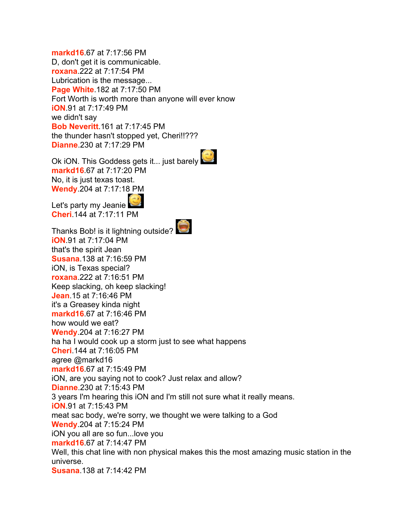**markd16**.67 at 7:17:56 PM D, don't get it is communicable. **roxana**.222 at 7:17:54 PM Lubrication is the message... **Page White**.182 at 7:17:50 PM Fort Worth is worth more than anyone will ever know **iON**.91 at 7:17:49 PM we didn't say **Bob Neveritt**.161 at 7:17:45 PM the thunder hasn't stopped yet, Cheri!!??? **Dianne**.230 at 7:17:29 PM

Ok iON. This Goddess gets it... just barely **markd16**.67 at 7:17:20 PM No, it is just texas toast. **Wendy**.204 at 7:17:18 PM

Let's party my Jeanie **Cheri**.144 at 7:17:11 PM



Thanks Bob! is it lightning outside? **iON**.91 at 7:17:04 PM that's the spirit Jean **Susana**.138 at 7:16:59 PM iON, is Texas special? **roxana**.222 at 7:16:51 PM Keep slacking, oh keep slacking! **Jean**.15 at 7:16:46 PM it's a Greasey kinda night **markd16**.67 at 7:16:46 PM how would we eat? **Wendy**.204 at 7:16:27 PM ha ha I would cook up a storm just to see what happens **Cheri**.144 at 7:16:05 PM agree @markd16 **markd16**.67 at 7:15:49 PM iON, are you saying not to cook? Just relax and allow? **Dianne**.230 at 7:15:43 PM 3 years I'm hearing this iON and I'm still not sure what it really means. **iON**.91 at 7:15:43 PM meat sac body, we're sorry, we thought we were talking to a God **Wendy**.204 at 7:15:24 PM iON you all are so fun...love you **markd16**.67 at 7:14:47 PM Well, this chat line with non physical makes this the most amazing music station in the universe. **Susana**.138 at 7:14:42 PM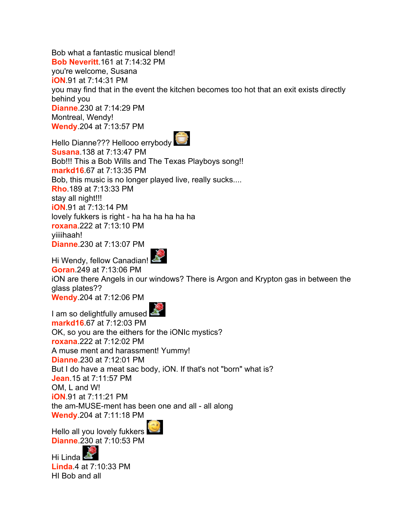Bob what a fantastic musical blend! **Bob Neveritt**.161 at 7:14:32 PM you're welcome, Susana **iON**.91 at 7:14:31 PM you may find that in the event the kitchen becomes too hot that an exit exists directly behind you **Dianne**.230 at 7:14:29 PM Montreal, Wendy! **Wendy**.204 at 7:13:57 PM



Hello Dianne??? Hellooo errybody **Susana**.138 at 7:13:47 PM Bob!!! This a Bob Wills and The Texas Playboys song!! **markd16**.67 at 7:13:35 PM Bob, this music is no longer played live, really sucks.... **Rho**.189 at 7:13:33 PM stay all night!!! **iON**.91 at 7:13:14 PM lovely fukkers is right - ha ha ha ha ha ha **roxana**.222 at 7:13:10 PM yiiiihaah! **Dianne**.230 at 7:13:07 PM



Hi Wendy, fellow Canadian! **Goran**.249 at 7:13:06 PM iON are there Angels in our windows? There is Argon and Krypton gas in between the glass plates?? **Wendy**.204 at 7:12:06 PM



I am so delightfully amused **markd16**.67 at 7:12:03 PM OK, so you are the eithers for the iONIc mystics? **roxana**.222 at 7:12:02 PM A muse ment and harassment! Yummy! **Dianne**.230 at 7:12:01 PM But I do have a meat sac body, iON. If that's not "born" what is? **Jean**.15 at 7:11:57 PM OM, L and W! **iON**.91 at 7:11:21 PM the am-MUSE-ment has been one and all - all along **Wendy**.204 at 7:11:18 PM

Hello all you lovely fukkers **Dianne**.230 at 7:10:53 PM

Hi Linda<sup>E</sup> **Linda**.4 at 7:10:33 PM HI Bob and all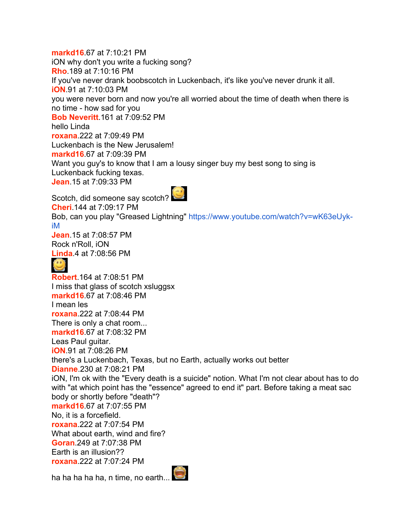**markd16**.67 at 7:10:21 PM iON why don't you write a fucking song? **Rho**.189 at 7:10:16 PM If you've never drank boobscotch in Luckenbach, it's like you've never drunk it all. **iON**.91 at 7:10:03 PM you were never born and now you're all worried about the time of death when there is no time - how sad for you **Bob Neveritt**.161 at 7:09:52 PM hello Linda **roxana**.222 at 7:09:49 PM Luckenbach is the New Jerusalem! **markd16**.67 at 7:09:39 PM Want you guy's to know that I am a lousy singer buy my best song to sing is Luckenback fucking texas. **Jean**.15 at 7:09:33 PM Scotch, did someone say scotch? **Cheri**.144 at 7:09:17 PM Bob, can you play "Greased Lightning" [https://www.youtube.com/watch?v=wK63eUyk](https://www.youtube.com/watch?v=wK63eUyk-iM)[iM](https://www.youtube.com/watch?v=wK63eUyk-iM) **Jean**.15 at 7:08:57 PM Rock n'Roll, iON **Linda**.4 at 7:08:56 PM  $\odot$ **Robert**.164 at 7:08:51 PM I miss that glass of scotch xsluggsx **markd16**.67 at 7:08:46 PM I mean les **roxana**.222 at 7:08:44 PM There is only a chat room... **markd16**.67 at 7:08:32 PM Leas Paul guitar. **iON**.91 at 7:08:26 PM there's a Luckenbach, Texas, but no Earth, actually works out better **Dianne**.230 at 7:08:21 PM iON, I'm ok with the "Every death is a suicide" notion. What I'm not clear about has to do with "at which point has the "essence" agreed to end it" part. Before taking a meat sac body or shortly before "death"? **markd16**.67 at 7:07:55 PM No, it is a forcefield. **roxana**.222 at 7:07:54 PM What about earth, wind and fire? **Goran**.249 at 7:07:38 PM Earth is an illusion?? **roxana**.222 at 7:07:24 PM ha ha ha ha ha, n time, no earth... $\bigodot$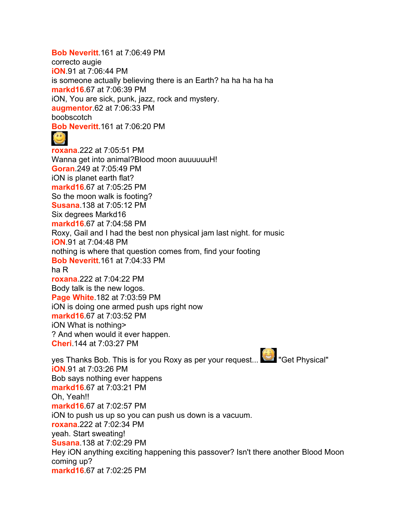## **Bob Neveritt**.161 at 7:06:49 PM

correcto augie **iON**.91 at 7:06:44 PM is someone actually believing there is an Earth? ha ha ha ha ha **markd16**.67 at 7:06:39 PM iON, You are sick, punk, jazz, rock and mystery. **augmentor**.62 at 7:06:33 PM boobscotch **Bob Neveritt**.161 at 7:06:20 PM

**roxana**.222 at 7:05:51 PM Wanna get into animal?Blood moon auuuuuuH! **Goran**.249 at 7:05:49 PM iON is planet earth flat? **markd16**.67 at 7:05:25 PM So the moon walk is footing? **Susana**.138 at 7:05:12 PM Six degrees Markd16 **markd16**.67 at 7:04:58 PM Roxy, Gail and I had the best non physical jam last night. for music **iON**.91 at 7:04:48 PM nothing is where that question comes from, find your footing **Bob Neveritt**.161 at 7:04:33 PM ha R **roxana**.222 at 7:04:22 PM Body talk is the new logos. **Page White**.182 at 7:03:59 PM iON is doing one armed push ups right now **markd16**.67 at 7:03:52 PM iON What is nothing> ? And when would it ever happen. **Cheri**.144 at 7:03:27 PM

yes Thanks Bob. This is for you Roxy as per your request... **[6]** "Get Physical" **iON**.91 at 7:03:26 PM Bob says nothing ever happens **markd16**.67 at 7:03:21 PM Oh, Yeah!! **markd16**.67 at 7:02:57 PM iON to push us up so you can push us down is a vacuum. **roxana**.222 at 7:02:34 PM yeah. Start sweating! **Susana**.138 at 7:02:29 PM Hey iON anything exciting happening this passover? Isn't there another Blood Moon coming up? **markd16**.67 at 7:02:25 PM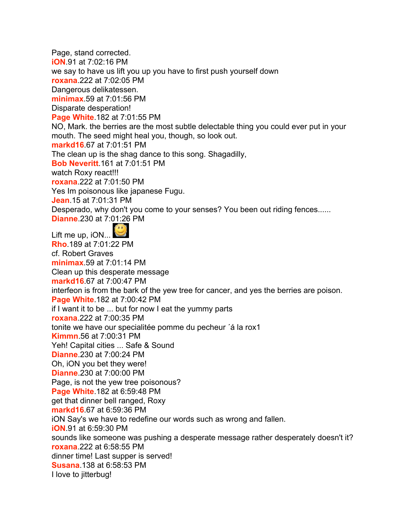Page, stand corrected. **iON**.91 at 7:02:16 PM we say to have us lift you up you have to first push yourself down **roxana**.222 at 7:02:05 PM Dangerous delikatessen. **minimax**.59 at 7:01:56 PM Disparate desperation! **Page White**.182 at 7:01:55 PM NO, Mark. the berries are the most subtle delectable thing you could ever put in your mouth. The seed might heal you, though, so look out. **markd16**.67 at 7:01:51 PM The clean up is the shag dance to this song. Shagadilly, **Bob Neveritt**.161 at 7:01:51 PM watch Roxy react!!! **roxana**.222 at 7:01:50 PM Yes Im poisonous like japanese Fugu. **Jean**.15 at 7:01:31 PM Desperado, why don't you come to your senses? You been out riding fences...... **Dianne**.230 at 7:01:26 PM Lift me up, iON... **Rho**.189 at 7:01:22 PM cf. Robert Graves **minimax**.59 at 7:01:14 PM Clean up this desperate message **markd16**.67 at 7:00:47 PM interfeon is from the bark of the yew tree for cancer, and yes the berries are poison. **Page White**.182 at 7:00:42 PM if I want it to be ... but for now I eat the yummy parts **roxana**.222 at 7:00:35 PM tonite we have our specialitée pomme du pecheur ´á la rox1 **Kimmn**.56 at 7:00:31 PM Yeh! Capital cities ... Safe & Sound **Dianne**.230 at 7:00:24 PM Oh, iON you bet they were! **Dianne**.230 at 7:00:00 PM Page, is not the yew tree poisonous? **Page White**.182 at 6:59:48 PM get that dinner bell ranged, Roxy **markd16**.67 at 6:59:36 PM iON Say's we have to redefine our words such as wrong and fallen. **iON**.91 at 6:59:30 PM sounds like someone was pushing a desperate message rather desperately doesn't it? **roxana**.222 at 6:58:55 PM dinner time! Last supper is served! **Susana**.138 at 6:58:53 PM I love to jitterbug!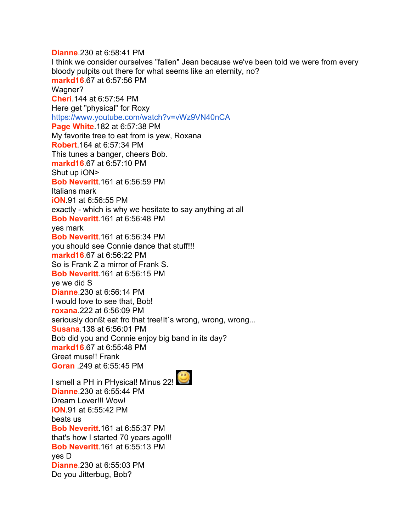**Dianne**.230 at 6:58:41 PM I think we consider ourselves "fallen" Jean because we've been told we were from every bloody pulpits out there for what seems like an eternity, no? **markd16**.67 at 6:57:56 PM Wagner? **Cheri**.144 at 6:57:54 PM Here get "physical" for Roxy <https://www.youtube.com/watch?v=vWz9VN40nCA> **Page White**.182 at 6:57:38 PM My favorite tree to eat from is yew, Roxana **Robert**.164 at 6:57:34 PM This tunes a banger, cheers Bob. **markd16**.67 at 6:57:10 PM Shut up iON> **Bob Neveritt**.161 at 6:56:59 PM Italians mark **iON**.91 at 6:56:55 PM exactly - which is why we hesitate to say anything at all **Bob Neveritt**.161 at 6:56:48 PM yes mark **Bob Neveritt**.161 at 6:56:34 PM you should see Connie dance that stuff!!! **markd16**.67 at 6:56:22 PM So is Frank Z a mirror of Frank S. **Bob Neveritt**.161 at 6:56:15 PM ye we did S **Dianne**.230 at 6:56:14 PM I would love to see that, Bob! **roxana**.222 at 6:56:09 PM seriously donßt eat fro that tree!It's wrong, wrong, wrong... **Susana**.138 at 6:56:01 PM Bob did you and Connie enjoy big band in its day? **markd16**.67 at 6:55:48 PM Great muse!! Frank **Goran** .249 at 6:55:45 PM I smell a PH in PHysical! Minus 22! **Dianne**.230 at 6:55:44 PM Dream Lover!!! Wow! **iON**.91 at 6:55:42 PM beats us **Bob Neveritt**.161 at 6:55:37 PM

that's how I started 70 years ago!!! **Bob Neveritt**.161 at 6:55:13 PM

yes D **Dianne**.230 at 6:55:03 PM Do you Jitterbug, Bob?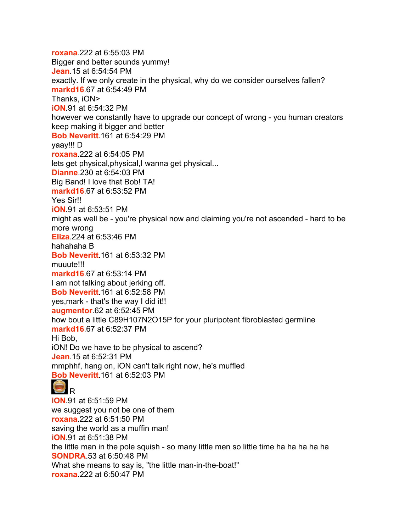**roxana**.222 at 6:55:03 PM Bigger and better sounds yummy! **Jean**.15 at 6:54:54 PM exactly. If we only create in the physical, why do we consider ourselves fallen? **markd16**.67 at 6:54:49 PM Thanks, iON> **iON**.91 at 6:54:32 PM however we constantly have to upgrade our concept of wrong - you human creators keep making it bigger and better **Bob Neveritt**.161 at 6:54:29 PM yaay!!! D **roxana**.222 at 6:54:05 PM lets get physical, physical, I wanna get physical... **Dianne**.230 at 6:54:03 PM Big Band! I love that Bob! TA! **markd16**.67 at 6:53:52 PM Yes Sir!! **iON**.91 at 6:53:51 PM might as well be - you're physical now and claiming you're not ascended - hard to be more wrong **Eliza**.224 at 6:53:46 PM hahahaha B **Bob Neveritt**.161 at 6:53:32 PM muuute!!! **markd16**.67 at 6:53:14 PM I am not talking about jerking off. **Bob Neveritt**.161 at 6:52:58 PM yes,mark - that's the way I did it!! **augmentor**.62 at 6:52:45 PM how bout a little C89H107N2O15P for your pluripotent fibroblasted germline **markd16**.67 at 6:52:37 PM Hi Bob, iON! Do we have to be physical to ascend? **Jean**.15 at 6:52:31 PM mmphhf, hang on, iON can't talk right now, he's muffled **Bob Neveritt**.161 at 6:52:03 PM **GIR iON**.91 at 6:51:59 PM we suggest you not be one of them **roxana**.222 at 6:51:50 PM saving the world as a muffin man! **iON**.91 at 6:51:38 PM the little man in the pole squish - so many little men so little time ha ha ha ha ha **SONDRA**.53 at 6:50:48 PM What she means to say is, "the little man-in-the-boat!" **roxana**.222 at 6:50:47 PM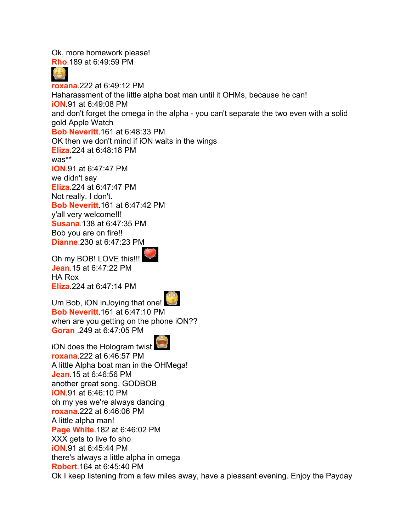Ok, more homework please! **Rho**.189 at 6:49:59 PM **roxana**.222 at 6:49:12 PM Haharassment of the little alpha boat man until it OHMs, because he can! **iON**.91 at 6:49:08 PM and don't forget the omega in the alpha - you can't separate the two even with a solid gold Apple Watch **Bob Neveritt**.161 at 6:48:33 PM OK then we don't mind if iON waits in the wings **Eliza**.224 at 6:48:18 PM was\*\* **iON**.91 at 6:47:47 PM we didn't say **Eliza**.224 at 6:47:47 PM Not really. I don't. **Bob Neveritt**.161 at 6:47:42 PM y'all very welcome!!! **Susana**.138 at 6:47:35 PM Bob you are on fire!! **Dianne**.230 at 6:47:23 PM

Oh my BOB! LOVE this!!! **Jean**.15 at 6:47:22 PM HA Rox **Eliza**.224 at 6:47:14 PM



Um Bob, iON inJoying that one! **Bob Neveritt**.161 at 6:47:10 PM when are you getting on the phone iON?? **Goran** .249 at 6:47:05 PM

iON does the Hologram twist **roxana**.222 at 6:46:57 PM A little Alpha boat man in the OHMega! **Jean**.15 at 6:46:56 PM another great song, GODBOB **iON**.91 at 6:46:10 PM oh my yes we're always dancing **roxana**.222 at 6:46:06 PM A little alpha man! **Page White**.182 at 6:46:02 PM XXX gets to live fo sho **iON**.91 at 6:45:44 PM there's always a little alpha in omega **Robert**.164 at 6:45:40 PM Ok I keep listening from a few miles away, have a pleasant evening. Enjoy the Payday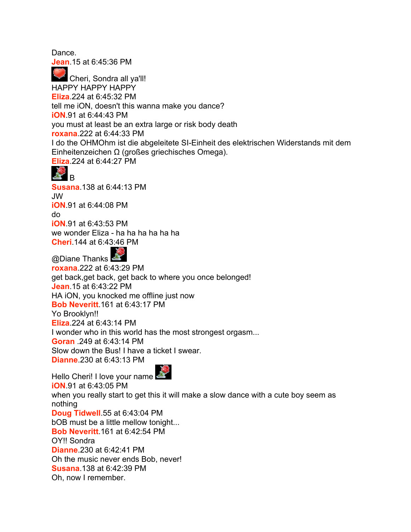Dance.

**Jean**.15 at 6:45:36 PM

 Cheri, Sondra all ya'll! HAPPY HAPPY HAPPY **Eliza**.224 at 6:45:32 PM tell me iON, doesn't this wanna make you dance? **iON**.91 at 6:44:43 PM you must at least be an extra large or risk body death **roxana**.222 at 6:44:33 PM I do the OHMOhm ist die abgeleitete SI-Einheit des elektrischen Widerstands mit dem Einheitenzeichen Ω (großes griechisches Omega). **Eliza**.224 at 6:44:27 PM



**Susana**.138 at 6:44:13 PM JW **iON**.91 at 6:44:08 PM do **iON**.91 at 6:43:53 PM we wonder Eliza - ha ha ha ha ha ha **Cheri**.144 at 6:43:46 PM

@Diane Thanks **roxana**.222 at 6:43:29 PM get back,get back, get back to where you once belonged! **Jean**.15 at 6:43:22 PM HA iON, you knocked me offline just now **Bob Neveritt**.161 at 6:43:17 PM Yo Brooklyn!! **Eliza**.224 at 6:43:14 PM I wonder who in this world has the most strongest orgasm... **Goran** .249 at 6:43:14 PM Slow down the Bus! I have a ticket I swear. **Dianne**.230 at 6:43:13 PM



Hello Cheri! I love your name **iON**.91 at 6:43:05 PM when you really start to get this it will make a slow dance with a cute boy seem as nothing **Doug Tidwell**.55 at 6:43:04 PM bOB must be a little mellow tonight... **Bob Neveritt**.161 at 6:42:54 PM OY!! Sondra **Dianne**.230 at 6:42:41 PM Oh the music never ends Bob, never! **Susana**.138 at 6:42:39 PM Oh, now I remember.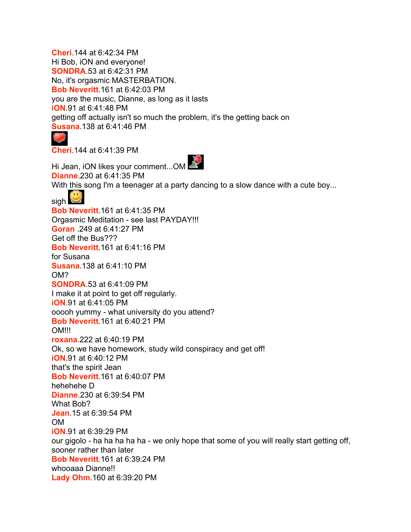**Cheri**.144 at 6:42:34 PM Hi Bob, iON and everyone! **SONDRA**.53 at 6:42:31 PM No, it's orgasmic MASTERBATION. **Bob Neveritt**.161 at 6:42:03 PM you are the music, Dianne, as long as it lasts **iON**.91 at 6:41:48 PM getting off actually isn't so much the problem, it's the getting back on **Susana**.138 at 6:41:46 PM

**Cheri**.144 at 6:41:39 PM



**Dianne**.230 at 6:41:35 PM With this song I'm a teenager at a party dancing to a slow dance with a cute boy... sigh **L Bob Neveritt**.161 at 6:41:35 PM Orgasmic Meditation - see last PAYDAY!!! **Goran** .249 at 6:41:27 PM Get off the Bus??? **Bob Neveritt**.161 at 6:41:16 PM for Susana **Susana**.138 at 6:41:10 PM OM? **SONDRA**.53 at 6:41:09 PM I make it at point to get off regularly. **iON**.91 at 6:41:05 PM ooooh yummy - what university do you attend? **Bob Neveritt**.161 at 6:40:21 PM **OM!!! roxana**.222 at 6:40:19 PM Ok, so we have homework, study wild conspiracy and get off! **iON**.91 at 6:40:12 PM that's the spirit Jean **Bob Neveritt**.161 at 6:40:07 PM hehehehe D **Dianne**.230 at 6:39:54 PM What Bob? **Jean**.15 at 6:39:54 PM OM **iON**.91 at 6:39:29 PM our gigolo - ha ha ha ha ha - we only hope that some of you will really start getting off, sooner rather than later **Bob Neveritt**.161 at 6:39:24 PM whooaaa Dianne!! **Lady Ohm**.160 at 6:39:20 PM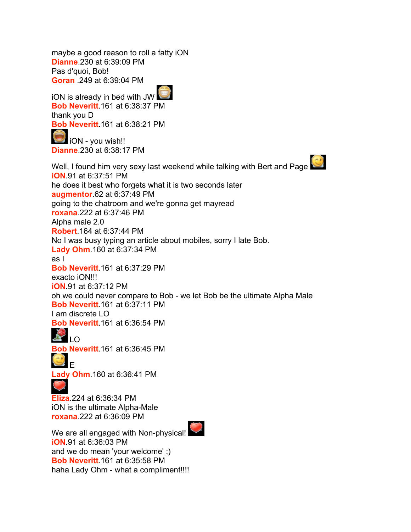maybe a good reason to roll a fatty iON **Dianne**.230 at 6:39:09 PM Pas d'quoi, Bob! **Goran** .249 at 6:39:04 PM

iON is already in bed with JW **Bob Neveritt**.161 at 6:38:37 PM thank you D **Bob Neveritt**.161 at 6:38:21 PM

**iON** - you wish!! **Dianne**.230 at 6:38:17 PM

Well, I found him very sexy last weekend while talking with Bert and Page **iON**.91 at 6:37:51 PM he does it best who forgets what it is two seconds later **augmentor**.62 at 6:37:49 PM going to the chatroom and we're gonna get mayread **roxana**.222 at 6:37:46 PM Alpha male 2.0 **Robert**.164 at 6:37:44 PM No I was busy typing an article about mobiles, sorry I late Bob. **Lady Ohm**.160 at 6:37:34 PM as I **Bob Neveritt**.161 at 6:37:29 PM exacto iON!!! **iON**.91 at 6:37:12 PM oh we could never compare to Bob - we let Bob be the ultimate Alpha Male **Bob Neveritt**.161 at 6:37:11 PM I am discrete LO **Bob Neveritt**.161 at 6:36:54 PM LO<sub>LO</sub> **Bob Neveritt**.161 at 6:36:45 PM E **Lady Ohm**.160 at 6:36:41 PM

**Eliza**.224 at 6:36:34 PM iON is the ultimate Alpha-Male **roxana**.222 at 6:36:09 PM

We are all engaged with Non-physical! **iON**.91 at 6:36:03 PM and we do mean 'your welcome' ;) **Bob Neveritt**.161 at 6:35:58 PM haha Lady Ohm - what a compliment!!!!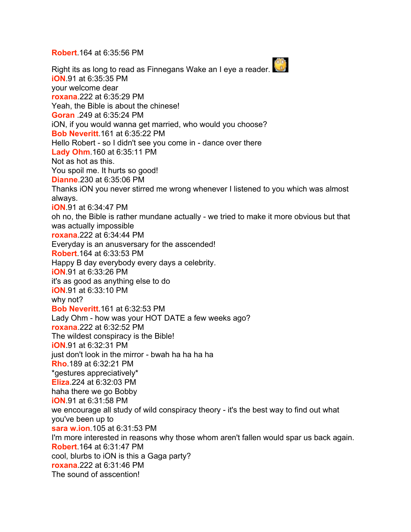**Robert**.164 at 6:35:56 PM

Right its as long to read as Finnegans Wake an I eye a reader. **iON**.91 at 6:35:35 PM your welcome dear **roxana**.222 at 6:35:29 PM Yeah, the Bible is about the chinese! **Goran** .249 at 6:35:24 PM iON, if you would wanna get married, who would you choose? **Bob Neveritt**.161 at 6:35:22 PM Hello Robert - so I didn't see you come in - dance over there **Lady Ohm**.160 at 6:35:11 PM Not as hot as this. You spoil me. It hurts so good! **Dianne**.230 at 6:35:06 PM Thanks iON you never stirred me wrong whenever I listened to you which was almost always. **iON**.91 at 6:34:47 PM oh no, the Bible is rather mundane actually - we tried to make it more obvious but that was actually impossible **roxana**.222 at 6:34:44 PM Everyday is an anusversary for the asscended! **Robert**.164 at 6:33:53 PM Happy B day everybody every days a celebrity. **iON**.91 at 6:33:26 PM it's as good as anything else to do **iON**.91 at 6:33:10 PM why not? **Bob Neveritt**.161 at 6:32:53 PM Lady Ohm - how was your HOT DATE a few weeks ago? **roxana**.222 at 6:32:52 PM The wildest conspiracy is the Bible! **iON**.91 at 6:32:31 PM just don't look in the mirror - bwah ha ha ha ha **Rho**.189 at 6:32:21 PM \*gestures appreciatively\* **Eliza**.224 at 6:32:03 PM haha there we go Bobby **iON**.91 at 6:31:58 PM we encourage all study of wild conspiracy theory - it's the best way to find out what you've been up to **sara w.ion**.105 at 6:31:53 PM I'm more interested in reasons why those whom aren't fallen would spar us back again. **Robert**.164 at 6:31:47 PM cool, blurbs to iON is this a Gaga party? **roxana**.222 at 6:31:46 PM The sound of asscention!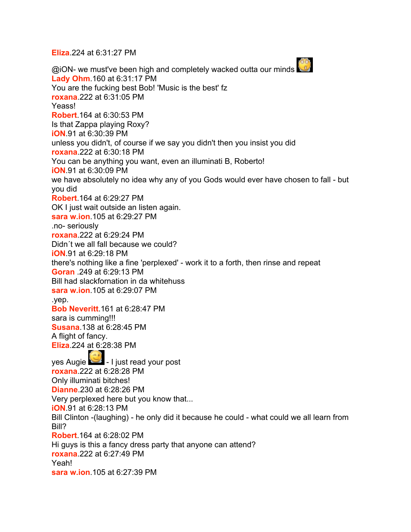**Eliza**.224 at 6:31:27 PM

@iON- we must've been high and completely wacked outta our minds **Lady Ohm**.160 at 6:31:17 PM You are the fucking best Bob! 'Music is the best' fz **roxana**.222 at 6:31:05 PM Yeass! **Robert**.164 at 6:30:53 PM Is that Zappa playing Roxy? **iON**.91 at 6:30:39 PM unless you didn't, of course if we say you didn't then you insist you did **roxana**.222 at 6:30:18 PM You can be anything you want, even an illuminati B, Roberto! **iON**.91 at 6:30:09 PM we have absolutely no idea why any of you Gods would ever have chosen to fall - but you did **Robert**.164 at 6:29:27 PM OK I just wait outside an listen again. **sara w.ion**.105 at 6:29:27 PM .no- seriously **roxana**.222 at 6:29:24 PM Didn´t we all fall because we could? **iON**.91 at 6:29:18 PM there's nothing like a fine 'perplexed' - work it to a forth, then rinse and repeat **Goran** .249 at 6:29:13 PM Bill had slackfornation in da whitehuss **sara w.ion**.105 at 6:29:07 PM .yep. **Bob Neveritt**.161 at 6:28:47 PM sara is cumming!!! **Susana**.138 at 6:28:45 PM A flight of fancy. **Eliza**.224 at 6:28:38 PM yes Augie  $-1$  iust read your post **roxana**.222 at 6:28:28 PM Only illuminati bitches! **Dianne**.230 at 6:28:26 PM Very perplexed here but you know that... **iON**.91 at 6:28:13 PM Bill Clinton -(laughing) - he only did it because he could - what could we all learn from Bill? **Robert**.164 at 6:28:02 PM Hi guys is this a fancy dress party that anyone can attend? **roxana**.222 at 6:27:49 PM Yeah! **sara w.ion**.105 at 6:27:39 PM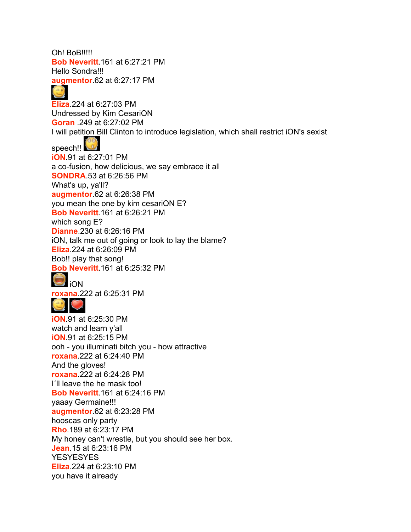Oh! BoB!!!!! **Bob Neveritt**.161 at 6:27:21 PM Hello Sondra!!! **augmentor**.62 at 6:27:17 PM

## G

**Eliza**.224 at 6:27:03 PM Undressed by Kim CesariON **Goran** .249 at 6:27:02 PM I will petition Bill Clinton to introduce legislation, which shall restrict iON's sexist speech!! **iON**.91 at 6:27:01 PM a co-fusion, how delicious, we say embrace it all **SONDRA**.53 at 6:26:56 PM What's up, ya'll? **augmentor**.62 at 6:26:38 PM you mean the one by kim cesariON E? **Bob Neveritt**.161 at 6:26:21 PM which song E? **Dianne**.230 at 6:26:16 PM iON, talk me out of going or look to lay the blame? **Eliza**.224 at 6:26:09 PM Bob!! play that song! **Bob Neveritt**.161 at 6:25:32 PM **i**ON

**roxana**.222 at 6:25:31 PM



**iON**.91 at 6:25:30 PM watch and learn y'all **iON**.91 at 6:25:15 PM ooh - you illuminati bitch you - how attractive **roxana**.222 at 6:24:40 PM And the gloves! **roxana**.222 at 6:24:28 PM I´ll leave the he mask too! **Bob Neveritt**.161 at 6:24:16 PM yaaay Germaine!!! **augmentor**.62 at 6:23:28 PM hooscas only party **Rho**.189 at 6:23:17 PM My honey can't wrestle, but you should see her box. **Jean**.15 at 6:23:16 PM **YESYESYES Eliza**.224 at 6:23:10 PM you have it already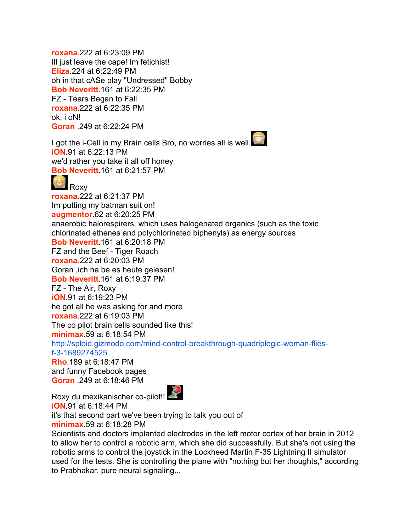**roxana**.222 at 6:23:09 PM Ill just leave the cape! Im fetichist! **Eliza**.224 at 6:22:49 PM oh in that cASe play "Undressed" Bobby **Bob Neveritt**.161 at 6:22:35 PM FZ - Tears Began to Fall **roxana**.222 at 6:22:35 PM ok, i oN! **Goran** .249 at 6:22:24 PM

I got the i-Cell in my Brain cells Bro, no worries all is well **iON**.91 at 6:22:13 PM we'd rather you take it all off honey **Bob Neveritt**.161 at 6:21:57 PM

 Roxy **roxana**.222 at 6:21:37 PM Im putting my batman suit on! **augmentor**.62 at 6:20:25 PM anaerobic halorespirers, which uses halogenated organics (such as the toxic chlorinated ethenes and polychlorinated biphenyls) as energy sources **Bob Neveritt**.161 at 6:20:18 PM FZ and the Beef - Tiger Roach **roxana**.222 at 6:20:03 PM Goran ,ich ha be es heute gelesen! **Bob Neveritt**.161 at 6:19:37 PM FZ - The Air, Roxy **iON**.91 at 6:19:23 PM he got all he was asking for and more **roxana**.222 at 6:19:03 PM The co pilot brain cells sounded like this! **minimax**.59 at 6:18:54 PM [http://sploid.gizmodo.com/mind-control-breakthrough-quadriplegic-woman-flies](http://sploid.gizmodo.com/mind-control-breakthrough-quadriplegic-woman-flies-f-3-1689274525)[f-3-1689274525](http://sploid.gizmodo.com/mind-control-breakthrough-quadriplegic-woman-flies-f-3-1689274525) **Rho**.189 at 6:18:47 PM and funny Facebook pages **Goran** .249 at 6:18:46 PM

Roxy du mexikanischer co-pilot!! **iON**.91 at 6:18:44 PM it's that second part we've been trying to talk you out of **minimax**.59 at 6:18:28 PM

Scientists and doctors implanted electrodes in the left motor cortex of her brain in 2012 to allow her to control a robotic arm, which she did successfully. But she's not using the robotic arms to control the joystick in the Lockheed Martin F-35 Lightning II simulator used for the tests. She is controlling the plane with "nothing but her thoughts," according to Prabhakar, pure neural signaling...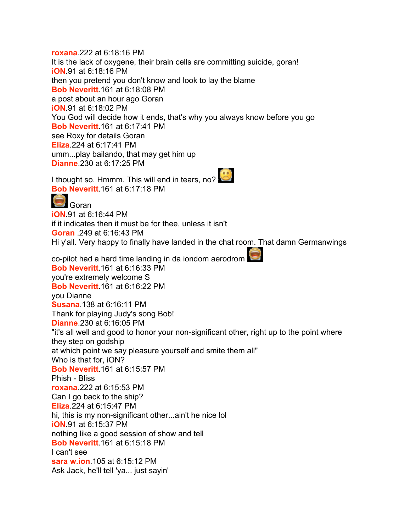**roxana**.222 at 6:18:16 PM It is the lack of oxygene, their brain cells are committing suicide, goran! **iON**.91 at 6:18:16 PM then you pretend you don't know and look to lay the blame **Bob Neveritt**.161 at 6:18:08 PM a post about an hour ago Goran **iON**.91 at 6:18:02 PM You God will decide how it ends, that's why you always know before you go **Bob Neveritt**.161 at 6:17:41 PM see Roxy for details Goran **Eliza**.224 at 6:17:41 PM umm...play bailando, that may get him up **Dianne**.230 at 6:17:25 PM

I thought so. Hmmm. This will end in tears, no? **Bob Neveritt**.161 at 6:17:18 PM



**iON**.91 at 6:16:44 PM if it indicates then it must be for thee, unless it isn't **Goran** .249 at 6:16:43 PM Hi y'all. Very happy to finally have landed in the chat room. That damn Germanwings

co-pilot had a hard time landing in da iondom aerodrom **Bob Neveritt**.161 at 6:16:33 PM you're extremely welcome S **Bob Neveritt**.161 at 6:16:22 PM you Dianne **Susana**.138 at 6:16:11 PM Thank for playing Judy's song Bob! **Dianne**.230 at 6:16:05 PM "it's all well and good to honor your non-significant other, right up to the point where they step on godship at which point we say pleasure yourself and smite them all" Who is that for, iON? **Bob Neveritt**.161 at 6:15:57 PM Phish - Bliss **roxana**.222 at 6:15:53 PM Can I go back to the ship? **Eliza**.224 at 6:15:47 PM hi, this is my non-significant other...ain't he nice lol **iON**.91 at 6:15:37 PM nothing like a good session of show and tell **Bob Neveritt**.161 at 6:15:18 PM I can't see **sara w.ion**.105 at 6:15:12 PM Ask Jack, he'll tell 'ya... just sayin'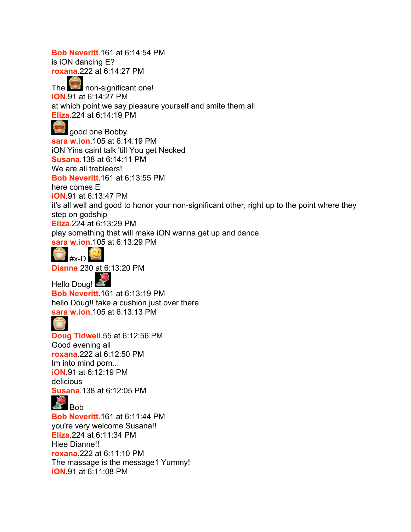**Bob Neveritt**.161 at 6:14:54 PM is iON dancing E? **roxana**.222 at 6:14:27 PM The non-significant one! **iON**.91 at 6:14:27 PM at which point we say pleasure yourself and smite them all **Eliza**.224 at 6:14:19 PM good one Bobby **sara w.ion**.105 at 6:14:19 PM iON Yins caint talk 'till You get Necked **Susana**.138 at 6:14:11 PM We are all trebleers! **Bob Neveritt**.161 at 6:13:55 PM here comes E **iON**.91 at 6:13:47 PM it's all well and good to honor your non-significant other, right up to the point where they step on godship **Eliza**.224 at 6:13:29 PM play something that will make iON wanna get up and dance **sara w.ion**.105 at 6:13:29 PM



**Dianne**.230 at 6:13:20 PM

Hello Doug! **Bob Neveritt**.161 at 6:13:19 PM hello Doug!! take a cushion just over there **sara w.ion**.105 at 6:13:13 PM



**Doug Tidwell**.55 at 6:12:56 PM Good evening all **roxana**.222 at 6:12:50 PM Im into mind porn... **iON**.91 at 6:12:19 PM delicious **Susana**.138 at 6:12:05 PM



**Bob Neveritt**.161 at 6:11:44 PM you're very welcome Susana!! **Eliza**.224 at 6:11:34 PM Hiee Dianne!! **roxana**.222 at 6:11:10 PM The massage is the message1 Yummy! **iON**.91 at 6:11:08 PM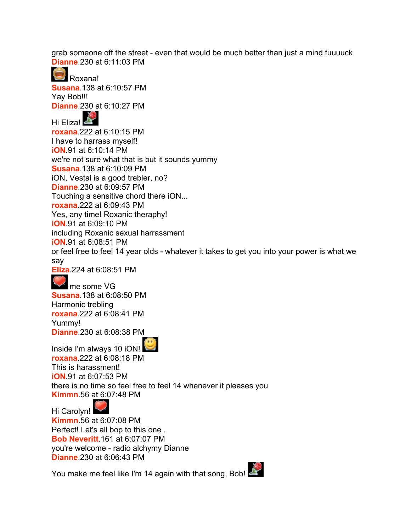grab someone off the street - even that would be much better than just a mind fuuuuck **Dianne**.230 at 6:11:03 PM

 Roxana! **Susana**.138 at 6:10:57 PM Yav Bob!!! **Dianne**.230 at 6:10:27 PM

Hi Eliza! **roxana**.222 at 6:10:15 PM I have to harrass myself! **iON**.91 at 6:10:14 PM we're not sure what that is but it sounds yummy **Susana**.138 at 6:10:09 PM iON, Vestal is a good trebler, no? **Dianne**.230 at 6:09:57 PM Touching a sensitive chord there iON... **roxana**.222 at 6:09:43 PM Yes, any time! Roxanic theraphy! **iON**.91 at 6:09:10 PM including Roxanic sexual harrassment **iON**.91 at 6:08:51 PM or feel free to feel 14 year olds - whatever it takes to get you into your power is what we say

**Eliza**.224 at 6:08:51 PM

me some VG **Susana**.138 at 6:08:50 PM Harmonic trebling **roxana**.222 at 6:08:41 PM Yummy! **Dianne**.230 at 6:08:38 PM

Inside I'm always 10 iON! **roxana**.222 at 6:08:18 PM This is harassment! **iON**.91 at 6:07:53 PM there is no time so feel free to feel 14 whenever it pleases you **Kimmn**.56 at 6:07:48 PM

Hi Carolyn! **Kimmn**.56 at 6:07:08 PM Perfect! Let's all bop to this one . **Bob Neveritt**.161 at 6:07:07 PM you're welcome - radio alchymy Dianne **Dianne**.230 at 6:06:43 PM

You make me feel like I'm 14 again with that song, Bob!

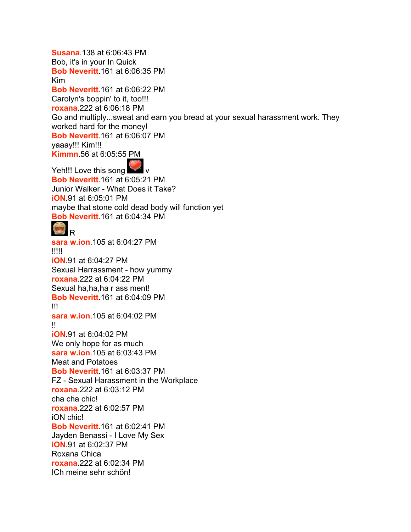**Susana**.138 at 6:06:43 PM Bob, it's in your In Quick **Bob Neveritt**.161 at 6:06:35 PM Kim **Bob Neveritt**.161 at 6:06:22 PM Carolyn's boppin' to it, too!!! **roxana**.222 at 6:06:18 PM Go and multiply...sweat and earn you bread at your sexual harassment work. They worked hard for the money! **Bob Neveritt**.161 at 6:06:07 PM yaaay!!! Kim!!! **Kimmn**.56 at 6:05:55 PM Yeh!!! Love this song **Bob Neveritt**.161 at 6:05:21 PM Junior Walker - What Does it Take? **iON**.91 at 6:05:01 PM maybe that stone cold dead body will function yet **Bob Neveritt**.161 at 6:04:34 PM R **sara w.ion**.105 at 6:04:27 PM !!!!! **iON**.91 at 6:04:27 PM Sexual Harrassment - how yummy **roxana**.222 at 6:04:22 PM Sexual ha,ha,ha r ass ment! **Bob Neveritt**.161 at 6:04:09 PM !!! **sara w.ion**.105 at 6:04:02 PM !! **iON**.91 at 6:04:02 PM We only hope for as much **sara w.ion**.105 at 6:03:43 PM Meat and Potatoes **Bob Neveritt**.161 at 6:03:37 PM FZ - Sexual Harassment in the Workplace **roxana**.222 at 6:03:12 PM cha cha chic! **roxana**.222 at 6:02:57 PM iON chic! **Bob Neveritt**.161 at 6:02:41 PM Jayden Benassi - I Love My Sex **iON**.91 at 6:02:37 PM Roxana Chica **roxana**.222 at 6:02:34 PM ICh meine sehr schön!